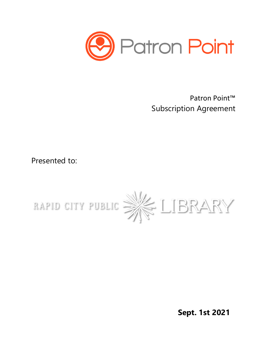

Patron Point™ Subscription Agreement

Presented to:



**Sept. 1st 2021**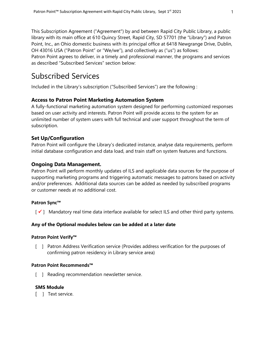This Subscription Agreement ("Agreement") by and between Rapid City Public Library, a public library with its main office at 610 Quincy Street, Rapid City, SD 57701 (the "Library") and Patron Point, Inc., an Ohio domestic business with its principal office at 6418 Newgrange Drive, Dublin, OH 43016 USA ("Patron Point" or "We/we"), and collectively as ("us") as follows:

Patron Point agrees to deliver, in a timely and professional manner, the programs and services as described "Subscribed Services" section below:

# Subscribed Services

Included in the Library's subscription ("Subscribed Services") are the following :

# **Access to Patron Point Marketing Automation System**

A fully-functional marketing automation system designed for performing customized responses based on user activity and interests. Patron Point will provide access to the system for an unlimited number of system users with full technical and user support throughout the term of subscription.

# **Set Up/Configuration**

Patron Point will configure the Library's dedicated instance, analyse data requirements, perform initial database configuration and data load, and train staff on system features and functions.

# **Ongoing Data Management.**

Patron Point will perform monthly updates of ILS and applicable data sources for the purpose of supporting marketing programs and triggering automatic messages to patrons based on activity and/or preferences. Additional data sources can be added as needed by subscribed programs or customer needs at no additional cost.

# **Patron Sync™**

 $\lceil \checkmark \rceil$  Mandatory real time data interface available for select ILS and other third party systems.

# **Any of the Optional modules below can be added at a later date**

### **Patron Point Verify™**

[ ] Patron Address Verification service (Provides address verification for the purposes of confirming patron residency in Library service area)

### **Patron Point Recommends™**

[ ] Reading recommendation newsletter service.

### **SMS Module**

[ ] Text service.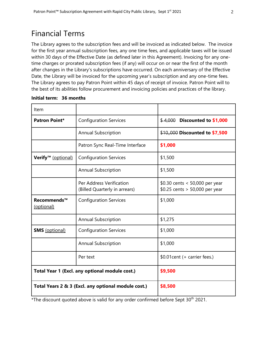# Financial Terms

The Library agrees to the subscription fees and will be invoiced as indicated below. The invoice for the first year annual subscription fees, any one time fees, and applicable taxes will be issued within 30 days of the Effective Date (as defined later in this Agreement). Invoicing for any onetime charges or prorated subscription fees (if any) will occur on or near the first of the month after changes in the Library's subscriptions have occurred. On each anniversary of the Effective Date, the Library will be invoiced for the upcoming year's subscription and any one-time fees. The Library agrees to pay Patron Point within 45 days of receipt of invoice. Patron Point will to the best of its abilities follow procurement and invoicing policies and practices of the library.

| Item                                                |                                                           |                                                                    |
|-----------------------------------------------------|-----------------------------------------------------------|--------------------------------------------------------------------|
| <b>Patron Point*</b>                                | <b>Configuration Services</b>                             | $$4,000$ Discounted to \$1,000                                     |
|                                                     | <b>Annual Subscription</b>                                | \$10,000 Discounted to \$7,500                                     |
|                                                     | Patron Sync Real-Time Interface                           | \$1,000                                                            |
| Verify <sup>™</sup> (optional)                      | <b>Configuration Services</b>                             | \$1,500                                                            |
|                                                     | <b>Annual Subscription</b>                                | \$1,500                                                            |
|                                                     | Per Address Verification<br>(Billed Quarterly in arrears) | \$0.30 cents < $50,000$ per year<br>\$0.25 cents > 50,000 per year |
| Recommends™<br>(optional)                           | <b>Configuration Services</b>                             | \$1,000                                                            |
|                                                     | <b>Annual Subscription</b>                                | \$1,275                                                            |
| <b>SMS</b> (optional)                               | <b>Configuration Services</b>                             | \$1,000                                                            |
|                                                     | <b>Annual Subscription</b>                                | \$1,000                                                            |
|                                                     | Per text                                                  | \$0.01 cent (+ carrier fees.)                                      |
| Total Year 1 (Excl. any optional module cost.)      |                                                           | \$9,500                                                            |
| Total Years 2 & 3 (Excl. any optional module cost.) |                                                           | \$8,500                                                            |

### **Initial term: 36 months**

\*The discount quoted above is valid for any order confirmed before Sept  $30<sup>th</sup>$  2021.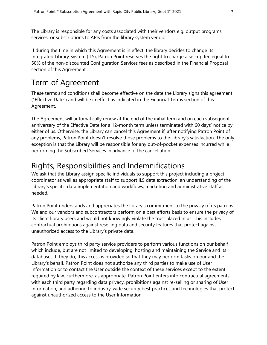The Library is responsible for any costs associated with their vendors e.g. output programs, services, or subscriptions to APIs from the library system vendor.

If during the time in which this Agreement is in effect, the library decides to change its Integrated Library System (ILS), Patron Point reserves the right to charge a set-up fee equal to 50% of the non-discounted Configuration Services fees as described in the Financial Proposal section of this Agreement.

# Term of Agreement

These terms and conditions shall become effective on the date the Library signs this agreement ("Effective Date") and will be in effect as indicated in the Financial Terms section of this Agreement.

The Agreement will automatically renew at the end of the initial term and on each subsequent anniversary of the Effective Date for a 12-month term unless terminated with 60 days' notice by either of us. Otherwise, the Library can cancel this Agreement if, after notifying Patron Point of any problems, Patron Point doesn't resolve those problems to the Library's satisfaction. The only exception is that the Library will be responsible for any out-of-pocket expenses incurred while performing the Subscribed Services in advance of the cancellation.

# Rights, Responsibilities and Indemnifications

We ask that the Library assign specific individuals to support this project including a project coordinator as well as appropriate staff to support ILS data extraction, an understanding of the Library's specific data implementation and workflows, marketing and administrative staff as needed.

Patron Point understands and appreciates the library's commitment to the privacy of its patrons. We and our vendors and subcontractors perform on a best efforts basis to ensure the privacy of its client library users and would not knowingly violate the trust placed in us. This includes contractual prohibitions against reselling data and security features that protect against unauthorized access to the Library's private data.

Patron Point employs third party service providers to perform various functions on our behalf which include, but are not limited to developing, hosting and maintaining the Service and its databases. If they do, this access is provided so that they may perform tasks on our and the Library's behalf. Patron Point does not authorize any third parties to make use of User Information or to contact the User outside the context of these services except to the extent required by law. Furthermore, as appropriate, Patron Point enters into contractual agreements with each third party regarding data privacy, prohibitions against re-selling or sharing of User Information, and adhering to industry-wide security best practices and technologies that protect against unauthorized access to the User Information.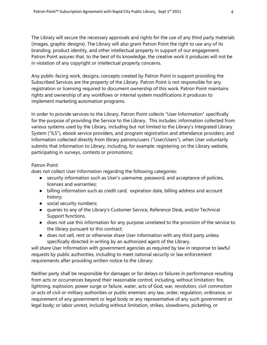The Library will secure the necessary approvals and rights for the use of any third party materials (images, graphic designs). The Library will also grant Patron Point the right to use any of its branding, product identity, and other intellectual property in support of our engagement. Patron Point assures that, to the best of its knowledge, the creative work it produces will not be in violation of any copyright or intellectual property concerns.

Any public-facing work, designs, concepts created by Patron Point in support providing the Subscribed Services are the property of the Library. Patron Point is not responsible for any registration or licensing required to document ownership of this work. Patron Point maintains rights and ownership of any workflows or internal system modifications it produces to implement marketing automation programs.

In order to provide services to the Library, Patron Point collects "User Information" specifically for the purpose of providing the Service to the Library. This includes: information collected from various systems used by the Library, including but not limited to the Library's Integrated Library System ("ILS"), ebook service providers, and program registration and attendance providers; and Information collected directly from library patrons/users ("User/Users"), when User voluntarily submits that information to Library, including, for example: registering on the Library website, participating in surveys, contests or promotions;

### Patron Point:

does not collect User Information regarding the following categories:

- security information such as User's username, password, and acceptance of policies, licenses and warranties;
- billing information such as credit card, expiration date, billing address and account history;
- social security numbers;
- queries to any of the Library's Customer Service, Reference Desk, and/or Technical Support functions.
- does not use this information for any purpose unrelated to the provision of the service to the library pursuant to this contract;
- does not sell, rent or otherwise share User Information with any third party unless specifically directed in writing by an authorized agent of the Library.

will share User Information with government agencies as required by law in response to lawful requests by public authorities, including to meet national security or law enforcement requirements after providing written notice to the Library:

Neither party shall be responsible for damages or for delays or failures in performance resulting from acts or occurrences beyond their reasonable control, including, without limitation: fire, lightning, explosion, power surge or failure, water, acts of God, war, revolution, civil commotion or acts of civil or military authorities or public enemies: any law, order, regulation, ordinance, or requirement of any government or legal body or any representative of any such government or legal body; or labor unrest, including without limitation, strikes, slowdowns, picketing, or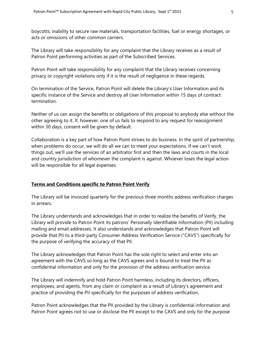boycotts; inability to secure raw materials, transportation facilities, fuel or energy shortages, or acts or omissions of other common carriers.

The Library will take responsibility for any complaint that the Library receives as a result of Patron Point performing activities as part of the Subscribed Services.

Patron Point will take responsibility for any complaint that the Library receives concerning privacy or copyright violations only if it is the result of negligence in these regards.

On termination of the Service, Patron Point will delete the Library's User Information and its specific instance of the Service and destroy all User Information within 15 days of contract termination.

Neither of us can assign the benefits or obligations of this proposal to anybody else without the other agreeing to it. If, however, one of us fails to respond to any request for reassignment within 30 days, consent will be given by default.

Collaboration is a key part of how Patron Point strives to do business. In the spirit of partnership, when problems do occur, we will do all we can to meet your expectations. If we can't work things out, we'll use the services of an arbitrator first and then the laws and courts in the local and country jurisdiction of whomever the complaint is against. Whoever loses the legal action will be responsible for all legal expenses.

# **Terms and Conditions specific to Patron Point Verify**

The Library will be invoiced quarterly for the previous three months address verification charges in arrears.

The Library understands and acknowledges that in order to realize the benefits of Verify, the Library will provide to Patron Point its patrons' Personally Identifiable Information (PII) including mailing and email addresses. It also understands and acknowledges that Patron Point will provide that PII to a third-party Consumer Address Verification Service ("CAVS") specifically for the purpose of verifying the accuracy of that PII.

The Library acknowledges that Patron Point has the sole right to select and enter into an agreement with the CAVS so long as the CAVS agrees and is bound to treat the PII as confidential information and only for the provision of the address verification service.

The Library will indemnify and hold Patron Point harmless, including its directors, officers, employees, and agents, from any claim or complaint as a result of Library's agreement and practice of providing the PII specifically for the purposes of address verification.

Patron Point acknowledges that the PII provided by the Library is confidential information and Patron Point agrees not to use or disclose the PII except to the CAVS and only for the purpose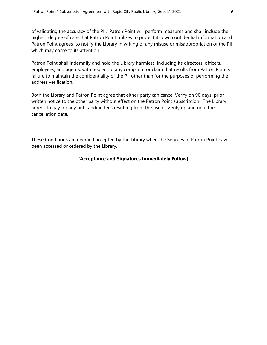of validating the accuracy of the PII. Patron Point will perform measures and shall include the highest degree of care that Patron Point utilizes to protect its own confidential information and Patron Point agrees to notify the Library in writing of any misuse or misappropriation of the PII which may come to its attention.

Patron Point shall indemnify and hold the Library harmless, including its directors, officers, employees, and agents, with respect to any complaint or claim that results from Patron Point's failure to maintain the confidentiality of the PII other than for the purposes of performing the address verification.

Both the Library and Patron Point agree that either party can cancel Verify on 90 days' prior written notice to the other party without effect on the Patron Point subscription. The Library agrees to pay for any outstanding fees resulting from the use of Verify up and until the cancellation date.

These Conditions are deemed accepted by the Library when the Services of Patron Point have been accessed or ordered by the Library.

# **[Acceptance and Signatures Immediately Follow]**